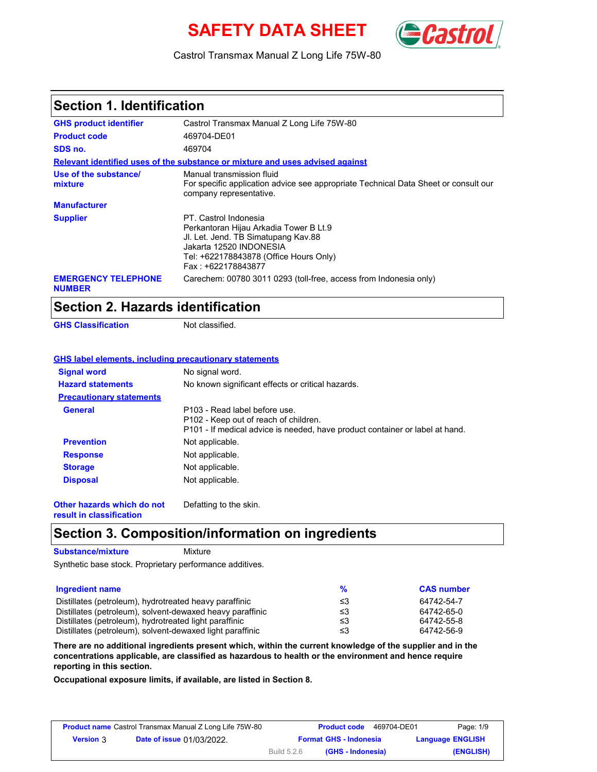# **SAFETY DATA SHEET** *Cast*



Castrol Transmax Manual Z Long Life 75W-80

### **Section 1. Identification**

| <b>GHS product identifier</b>               | Castrol Transmax Manual Z Long Life 75W-80                                                                                                                                                        |
|---------------------------------------------|---------------------------------------------------------------------------------------------------------------------------------------------------------------------------------------------------|
| <b>Product code</b>                         | 469704-DE01                                                                                                                                                                                       |
| SDS no.                                     | 469704                                                                                                                                                                                            |
|                                             | Relevant identified uses of the substance or mixture and uses advised against                                                                                                                     |
| Use of the substance/<br>mixture            | Manual transmission fluid<br>For specific application advice see appropriate Technical Data Sheet or consult our<br>company representative.                                                       |
| <b>Manufacturer</b>                         |                                                                                                                                                                                                   |
| <b>Supplier</b>                             | PT. Castrol Indonesia<br>Perkantoran Hijau Arkadia Tower B Lt.9<br>JI. Let. Jend. TB Simatupang Kav.88<br>Jakarta 12520 INDONESIA<br>Tel: +622178843878 (Office Hours Only)<br>Fax: +622178843877 |
| <b>EMERGENCY TELEPHONE</b><br><b>NUMBER</b> | Carechem: 00780 3011 0293 (toll-free, access from Indonesia only)                                                                                                                                 |

### **Section 2. Hazards identification**

**GHS Classification** Not classified.

### **GHS label elements, including precautionary statements**

| <b>Signal word</b>              | No signal word.                                                                                                                                        |
|---------------------------------|--------------------------------------------------------------------------------------------------------------------------------------------------------|
| <b>Hazard statements</b>        | No known significant effects or critical hazards.                                                                                                      |
| <b>Precautionary statements</b> |                                                                                                                                                        |
| <b>General</b>                  | P103 - Read label before use.<br>P102 - Keep out of reach of children.<br>P101 - If medical advice is needed, have product container or label at hand. |
| <b>Prevention</b>               | Not applicable.                                                                                                                                        |
| <b>Response</b>                 | Not applicable.                                                                                                                                        |
| <b>Storage</b>                  | Not applicable.                                                                                                                                        |
| <b>Disposal</b>                 | Not applicable.                                                                                                                                        |
|                                 |                                                                                                                                                        |

**Other hazards which do not result in classification** Defatting to the skin.

### **Section 3. Composition/information on ingredients**

**Substance/mixture**

Mixture

Synthetic base stock. Proprietary performance additives.

| <b>Ingredient name</b>                                    | $\frac{1}{2}$ | <b>CAS number</b> |
|-----------------------------------------------------------|---------------|-------------------|
| Distillates (petroleum), hydrotreated heavy paraffinic    | ≤3            | 64742-54-7        |
| Distillates (petroleum), solvent-dewaxed heavy paraffinic | ≤3            | 64742-65-0        |
| Distillates (petroleum), hydrotreated light paraffinic    | ≤3            | 64742-55-8        |
| Distillates (petroleum), solvent-dewaxed light paraffinic | ≤3            | 64742-56-9        |

**There are no additional ingredients present which, within the current knowledge of the supplier and in the concentrations applicable, are classified as hazardous to health or the environment and hence require reporting in this section.**

**Occupational exposure limits, if available, are listed in Section 8.**

| <b>Product name</b> Castrol Transmax Manual Z Long Life 75W-80 |                                  |             | <b>Product code</b>           | 469704-DE01 | Page: 1/9               |
|----------------------------------------------------------------|----------------------------------|-------------|-------------------------------|-------------|-------------------------|
| <b>Version 3</b>                                               | <b>Date of issue 01/03/2022.</b> |             | <b>Format GHS - Indonesia</b> |             | <b>Language ENGLISH</b> |
|                                                                |                                  | Build 5.2.6 | (GHS - Indonesia)             |             | (ENGLISH)               |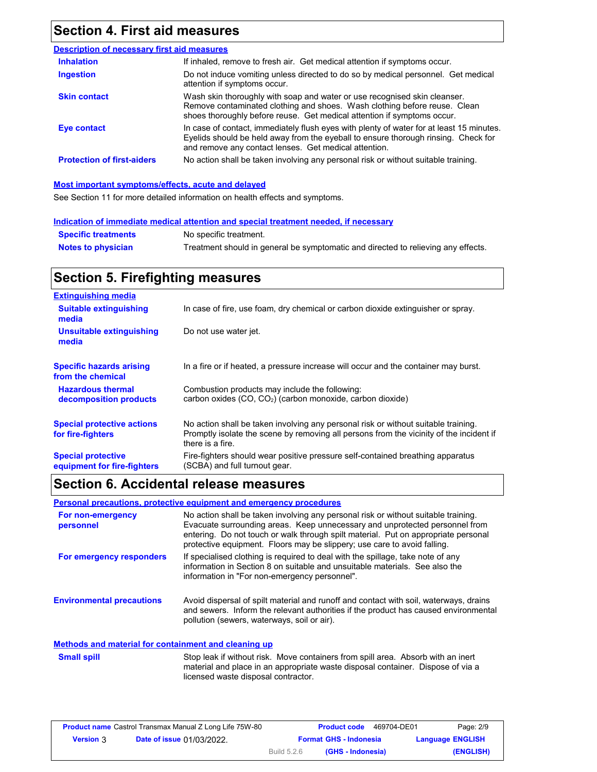# **Section 4. First aid measures**

| <b>Description of necessary first aid measures</b> |                                                                                                                                                                                                                                         |
|----------------------------------------------------|-----------------------------------------------------------------------------------------------------------------------------------------------------------------------------------------------------------------------------------------|
| <b>Inhalation</b>                                  | If inhaled, remove to fresh air. Get medical attention if symptoms occur.                                                                                                                                                               |
| Ingestion                                          | Do not induce vomiting unless directed to do so by medical personnel. Get medical<br>attention if symptoms occur.                                                                                                                       |
| <b>Skin contact</b>                                | Wash skin thoroughly with soap and water or use recognised skin cleanser.<br>Remove contaminated clothing and shoes. Wash clothing before reuse. Clean<br>shoes thoroughly before reuse. Get medical attention if symptoms occur.       |
| Eye contact                                        | In case of contact, immediately flush eyes with plenty of water for at least 15 minutes.<br>Eyelids should be held away from the eyeball to ensure thorough rinsing. Check for<br>and remove any contact lenses. Get medical attention. |
| <b>Protection of first-aiders</b>                  | No action shall be taken involving any personal risk or without suitable training.                                                                                                                                                      |

#### **Most important symptoms/effects, acute and delayed**

See Section 11 for more detailed information on health effects and symptoms.

|                            | Indication of immediate medical attention and special treatment needed, if necessary |  |
|----------------------------|--------------------------------------------------------------------------------------|--|
| <b>Specific treatments</b> | No specific treatment.                                                               |  |

| <b>OPECHIC HEATHEIRS</b>  | <b>ING SPECING MEANING IN.</b>                                                    |
|---------------------------|-----------------------------------------------------------------------------------|
| <b>Notes to physician</b> | Treatment should in general be symptomatic and directed to relieving any effects. |

# **Section 5. Firefighting measures**

| <b>Extinguishing media</b>                               |                                                                                                                                                                                                   |
|----------------------------------------------------------|---------------------------------------------------------------------------------------------------------------------------------------------------------------------------------------------------|
| <b>Suitable extinguishing</b><br>media                   | In case of fire, use foam, dry chemical or carbon dioxide extinguisher or spray.                                                                                                                  |
| Unsuitable extinguishing<br>media                        | Do not use water jet.                                                                                                                                                                             |
| <b>Specific hazards arising</b><br>from the chemical     | In a fire or if heated, a pressure increase will occur and the container may burst.                                                                                                               |
| <b>Hazardous thermal</b><br>decomposition products       | Combustion products may include the following:<br>carbon oxides (CO, CO2) (carbon monoxide, carbon dioxide)                                                                                       |
| <b>Special protective actions</b><br>for fire-fighters   | No action shall be taken involving any personal risk or without suitable training.<br>Promptly isolate the scene by removing all persons from the vicinity of the incident if<br>there is a fire. |
| <b>Special protective</b><br>equipment for fire-fighters | Fire-fighters should wear positive pressure self-contained breathing apparatus<br>(SCBA) and full turnout gear.                                                                                   |

# **Section 6. Accidental release measures**

**Personal precautions, protective equipment and emergency procedures**

| For non-emergency<br>personnel   | No action shall be taken involving any personal risk or without suitable training.<br>Evacuate surrounding areas. Keep unnecessary and unprotected personnel from<br>entering. Do not touch or walk through spilt material. Put on appropriate personal<br>protective equipment. Floors may be slippery; use care to avoid falling. |
|----------------------------------|-------------------------------------------------------------------------------------------------------------------------------------------------------------------------------------------------------------------------------------------------------------------------------------------------------------------------------------|
| For emergency responders         | If specialised clothing is required to deal with the spillage, take note of any<br>information in Section 8 on suitable and unsuitable materials. See also the<br>information in "For non-emergency personnel".                                                                                                                     |
| <b>Environmental precautions</b> | Avoid dispersal of spilt material and runoff and contact with soil, waterways, drains<br>and sewers. Inform the relevant authorities if the product has caused environmental<br>pollution (sewers, waterways, soil or air).                                                                                                         |

### **Methods and material for containment and cleaning up**

| <b>Small spill</b> | Stop leak if without risk. Move containers from spill area. Absorb with an inert |
|--------------------|----------------------------------------------------------------------------------|
|                    | material and place in an appropriate waste disposal container. Dispose of via a  |
|                    | licensed waste disposal contractor.                                              |

|                  | <b>Product name</b> Castrol Transmax Manual Z Long Life 75W-80 |             | <b>Product code</b>           | 469704-DE01 | Page: 2/9               |
|------------------|----------------------------------------------------------------|-------------|-------------------------------|-------------|-------------------------|
| <b>Version 3</b> | <b>Date of issue 01/03/2022.</b>                               |             | <b>Format GHS - Indonesia</b> |             | <b>Language ENGLISH</b> |
|                  |                                                                | Build 5.2.6 | (GHS - Indonesia)             |             | (ENGLISH)               |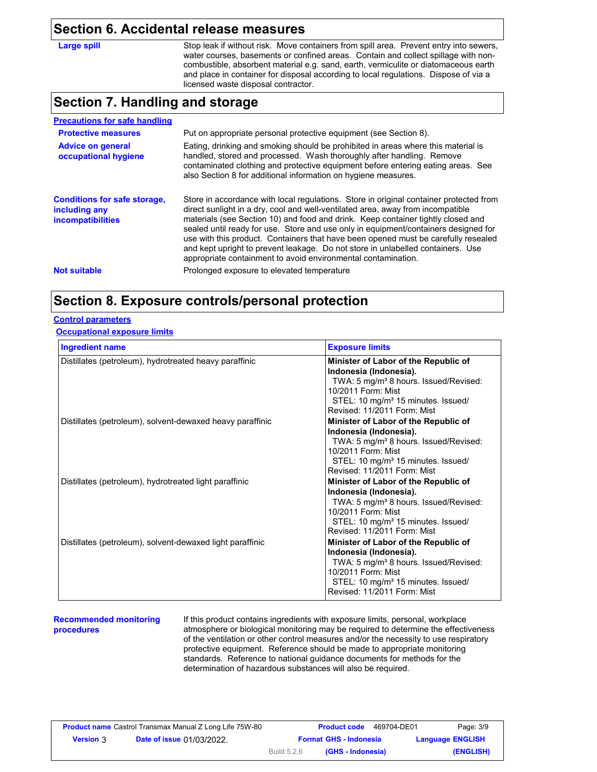### **Section 6. Accidental release measures**

**Large spill**

Stop leak if without risk. Move containers from spill area. Prevent entry into sewers, water courses, basements or confined areas. Contain and collect spillage with noncombustible, absorbent material e.g. sand, earth, vermiculite or diatomaceous earth and place in container for disposal according to local regulations. Dispose of via a licensed waste disposal contractor.

### **Section 7. Handling and storage**

| <b>Precautions for safe handling</b>                                             |                                                                                                                                                                                                                                                                                                                                                                                                                                                                                                                                                                                                |
|----------------------------------------------------------------------------------|------------------------------------------------------------------------------------------------------------------------------------------------------------------------------------------------------------------------------------------------------------------------------------------------------------------------------------------------------------------------------------------------------------------------------------------------------------------------------------------------------------------------------------------------------------------------------------------------|
| <b>Protective measures</b>                                                       | Put on appropriate personal protective equipment (see Section 8).                                                                                                                                                                                                                                                                                                                                                                                                                                                                                                                              |
| <b>Advice on general</b><br>occupational hygiene                                 | Eating, drinking and smoking should be prohibited in areas where this material is<br>handled, stored and processed. Wash thoroughly after handling. Remove<br>contaminated clothing and protective equipment before entering eating areas. See<br>also Section 8 for additional information on hygiene measures.                                                                                                                                                                                                                                                                               |
| <b>Conditions for safe storage,</b><br>including any<br><i>incompatibilities</i> | Store in accordance with local regulations. Store in original container protected from<br>direct sunlight in a dry, cool and well-ventilated area, away from incompatible<br>materials (see Section 10) and food and drink. Keep container tightly closed and<br>sealed until ready for use. Store and use only in equipment/containers designed for<br>use with this product. Containers that have been opened must be carefully resealed<br>and kept upright to prevent leakage. Do not store in unlabelled containers. Use<br>appropriate containment to avoid environmental contamination. |
| <b>Not suitable</b>                                                              | Prolonged exposure to elevated temperature                                                                                                                                                                                                                                                                                                                                                                                                                                                                                                                                                     |

## **Section 8. Exposure controls/personal protection**

### **Control parameters**

### **Occupational exposure limits**

| <b>Ingredient name</b>                                    | <b>Exposure limits</b>                                                                                                                                                                                                     |
|-----------------------------------------------------------|----------------------------------------------------------------------------------------------------------------------------------------------------------------------------------------------------------------------------|
| Distillates (petroleum), hydrotreated heavy paraffinic    | Minister of Labor of the Republic of<br>Indonesia (Indonesia).<br>TWA: 5 mg/m <sup>3</sup> 8 hours. Issued/Revised:<br>10/2011 Form: Mist<br>STEL: 10 mg/m <sup>3</sup> 15 minutes. Issued/<br>Revised: 11/2011 Form: Mist |
| Distillates (petroleum), solvent-dewaxed heavy paraffinic | Minister of Labor of the Republic of<br>Indonesia (Indonesia).<br>TWA: 5 mg/m <sup>3</sup> 8 hours. Issued/Revised:<br>10/2011 Form: Mist<br>STEL: 10 mg/m <sup>3</sup> 15 minutes. Issued/<br>Revised: 11/2011 Form: Mist |
| Distillates (petroleum), hydrotreated light paraffinic    | Minister of Labor of the Republic of<br>Indonesia (Indonesia).<br>TWA: 5 mg/m <sup>3</sup> 8 hours. Issued/Revised:<br>10/2011 Form: Mist<br>STEL: 10 mg/m <sup>3</sup> 15 minutes. Issued/<br>Revised: 11/2011 Form: Mist |
| Distillates (petroleum), solvent-dewaxed light paraffinic | Minister of Labor of the Republic of<br>Indonesia (Indonesia).<br>TWA: 5 mg/m <sup>3</sup> 8 hours. Issued/Revised:<br>10/2011 Form: Mist<br>STEL: 10 mg/m <sup>3</sup> 15 minutes. Issued/<br>Revised: 11/2011 Form: Mist |

#### **Recommended monitoring procedures**

If this product contains ingredients with exposure limits, personal, workplace atmosphere or biological monitoring may be required to determine the effectiveness of the ventilation or other control measures and/or the necessity to use respiratory protective equipment. Reference should be made to appropriate monitoring standards. Reference to national guidance documents for methods for the determination of hazardous substances will also be required.

|                  | <b>Product name</b> Castrol Transmax Manual Z Long Life 75W-80 |             | <b>Product code</b>           | 469704-DE01             | Page: 3/9 |
|------------------|----------------------------------------------------------------|-------------|-------------------------------|-------------------------|-----------|
| <b>Version</b> 3 | <b>Date of issue 01/03/2022.</b>                               |             | <b>Format GHS - Indonesia</b> | <b>Language ENGLISH</b> |           |
|                  |                                                                | Build 5.2.6 | (GHS - Indonesia)             |                         | (ENGLISH) |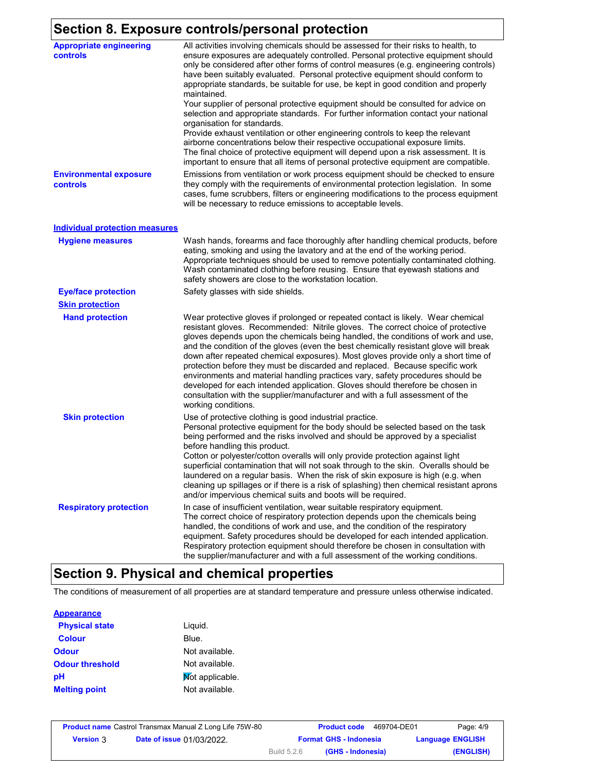# **Section 8. Exposure controls/personal protection**

| <b>Appropriate engineering</b><br>controls | $\sim$ 00.1.1. 0.1.0. post-order processes<br>All activities involving chemicals should be assessed for their risks to health, to<br>ensure exposures are adequately controlled. Personal protective equipment should                                                                                                                                                                                                                                                                                                                                                                                                                                                                                                                                                                           |
|--------------------------------------------|-------------------------------------------------------------------------------------------------------------------------------------------------------------------------------------------------------------------------------------------------------------------------------------------------------------------------------------------------------------------------------------------------------------------------------------------------------------------------------------------------------------------------------------------------------------------------------------------------------------------------------------------------------------------------------------------------------------------------------------------------------------------------------------------------|
|                                            | only be considered after other forms of control measures (e.g. engineering controls)<br>have been suitably evaluated. Personal protective equipment should conform to<br>appropriate standards, be suitable for use, be kept in good condition and properly                                                                                                                                                                                                                                                                                                                                                                                                                                                                                                                                     |
|                                            | maintained.<br>Your supplier of personal protective equipment should be consulted for advice on<br>selection and appropriate standards. For further information contact your national<br>organisation for standards.<br>Provide exhaust ventilation or other engineering controls to keep the relevant<br>airborne concentrations below their respective occupational exposure limits.<br>The final choice of protective equipment will depend upon a risk assessment. It is<br>important to ensure that all items of personal protective equipment are compatible.                                                                                                                                                                                                                             |
| <b>Environmental exposure</b><br>controls  | Emissions from ventilation or work process equipment should be checked to ensure<br>they comply with the requirements of environmental protection legislation. In some<br>cases, fume scrubbers, filters or engineering modifications to the process equipment<br>will be necessary to reduce emissions to acceptable levels.                                                                                                                                                                                                                                                                                                                                                                                                                                                                   |
| <b>Individual protection measures</b>      |                                                                                                                                                                                                                                                                                                                                                                                                                                                                                                                                                                                                                                                                                                                                                                                                 |
| <b>Hygiene measures</b>                    | Wash hands, forearms and face thoroughly after handling chemical products, before<br>eating, smoking and using the lavatory and at the end of the working period.<br>Appropriate techniques should be used to remove potentially contaminated clothing.<br>Wash contaminated clothing before reusing. Ensure that eyewash stations and<br>safety showers are close to the workstation location.                                                                                                                                                                                                                                                                                                                                                                                                 |
| <b>Eye/face protection</b>                 | Safety glasses with side shields.                                                                                                                                                                                                                                                                                                                                                                                                                                                                                                                                                                                                                                                                                                                                                               |
| <b>Skin protection</b>                     |                                                                                                                                                                                                                                                                                                                                                                                                                                                                                                                                                                                                                                                                                                                                                                                                 |
| <b>Hand protection</b>                     | Wear protective gloves if prolonged or repeated contact is likely. Wear chemical<br>resistant gloves. Recommended: Nitrile gloves. The correct choice of protective<br>gloves depends upon the chemicals being handled, the conditions of work and use,<br>and the condition of the gloves (even the best chemically resistant glove will break<br>down after repeated chemical exposures). Most gloves provide only a short time of<br>protection before they must be discarded and replaced. Because specific work<br>environments and material handling practices vary, safety procedures should be<br>developed for each intended application. Gloves should therefore be chosen in<br>consultation with the supplier/manufacturer and with a full assessment of the<br>working conditions. |
| <b>Skin protection</b>                     | Use of protective clothing is good industrial practice.<br>Personal protective equipment for the body should be selected based on the task<br>being performed and the risks involved and should be approved by a specialist<br>before handling this product.<br>Cotton or polyester/cotton overalls will only provide protection against light<br>superficial contamination that will not soak through to the skin. Overalls should be<br>laundered on a regular basis. When the risk of skin exposure is high (e.g. when<br>cleaning up spillages or if there is a risk of splashing) then chemical resistant aprons<br>and/or impervious chemical suits and boots will be required.                                                                                                           |
| <b>Respiratory protection</b>              | In case of insufficient ventilation, wear suitable respiratory equipment.<br>The correct choice of respiratory protection depends upon the chemicals being<br>handled, the conditions of work and use, and the condition of the respiratory<br>equipment. Safety procedures should be developed for each intended application.<br>Respiratory protection equipment should therefore be chosen in consultation with<br>the supplier/manufacturer and with a full assessment of the working conditions.                                                                                                                                                                                                                                                                                           |

# **Section 9. Physical and chemical properties**

The conditions of measurement of all properties are at standard temperature and pressure unless otherwise indicated.

### **Appearance**

| <b>Physical state</b>  | Liguid.         |
|------------------------|-----------------|
| <b>Colour</b>          | Blue.           |
| Odour                  | Not available.  |
| <b>Odour threshold</b> | Not available.  |
| pН                     | Mot applicable. |
| <b>Melting point</b>   | Not available.  |

|                  | <b>Product name</b> Castrol Transmax Manual Z Long Life 75W-80 |             | <b>Product code</b>           | 469704-DE01 | Page: 4/9               |
|------------------|----------------------------------------------------------------|-------------|-------------------------------|-------------|-------------------------|
| <b>Version 3</b> | <b>Date of issue 01/03/2022.</b>                               |             | <b>Format GHS - Indonesia</b> |             | <b>Language ENGLISH</b> |
|                  |                                                                | Build 5.2.6 | (GHS - Indonesia)             |             | (ENGLISH)               |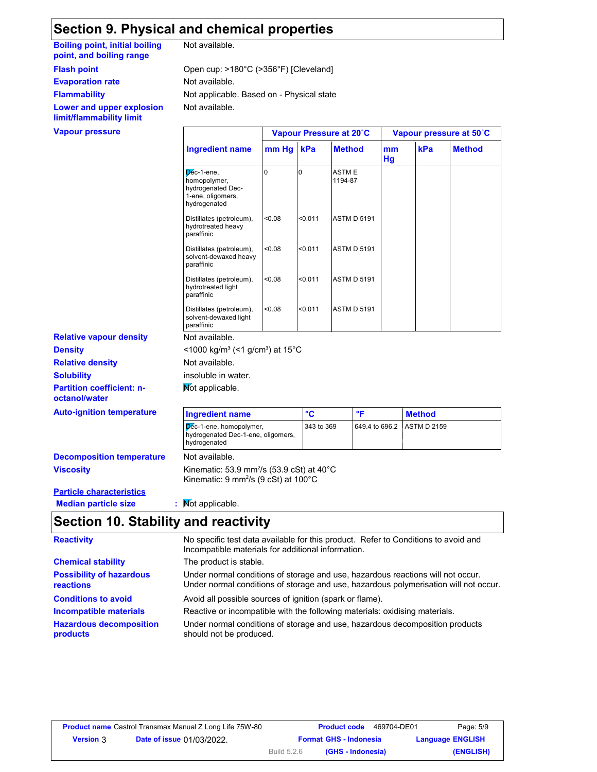## **Section 9. Physical and chemical properties**

**Boiling point, initial boiling point, and boiling range**

**Flash point**

**Evaporation rate** Not available.

**Flammability**

**Lower and upper explosion limit/flammability limit**

| Not available. |  |
|----------------|--|
|----------------|--|

Not available. Not applicable. Based on - Physical state Open cup: >180°C (>356°F) [Cleveland]

| <b>Vapour pressure</b>         |                                                                                      | Vapour Pressure at 20°C |         |                         | Vapour pressure at 50°C |     |               |
|--------------------------------|--------------------------------------------------------------------------------------|-------------------------|---------|-------------------------|-------------------------|-----|---------------|
|                                | <b>Ingredient name</b>                                                               | mm Hg kPa               |         | <b>Method</b>           | mm<br>Hg                | kPa | <b>Method</b> |
|                                | Dec-1-ene,<br>homopolymer,<br>hydrogenated Dec-<br>1-ene, oligomers,<br>hydrogenated | $\Omega$                |         | <b>ASTME</b><br>1194-87 |                         |     |               |
|                                | Distillates (petroleum),<br>hydrotreated heavy<br>paraffinic                         | < 0.08                  | < 0.011 | <b>ASTM D 5191</b>      |                         |     |               |
|                                | Distillates (petroleum),<br>solvent-dewaxed heavy<br>paraffinic                      | < 0.08                  | < 0.011 | <b>ASTM D 5191</b>      |                         |     |               |
|                                | Distillates (petroleum),<br>hydrotreated light<br>paraffinic                         | < 0.08                  | < 0.011 | <b>ASTM D 5191</b>      |                         |     |               |
|                                | Distillates (petroleum),<br>solvent-dewaxed light<br>paraffinic                      | < 0.08                  | < 0.011 | <b>ASTM D 5191</b>      |                         |     |               |
| <b>Relative vapour density</b> | Not available.                                                                       |                         |         |                         |                         |     |               |
| <b>Density</b>                 | $<$ 1000 kg/m <sup>3</sup> (<1 g/cm <sup>3</sup> ) at 15 <sup>°</sup> C              |                         |         |                         |                         |     |               |
| <b>Relative density</b>        | Not available.                                                                       |                         |         |                         |                         |     |               |
| <b>Solubility</b>              | insoluble in water.                                                                  |                         |         |                         |                         |     |               |

**Not applicable.** 

| <b>Auto-ignition temperature</b> | <b>Ingredient name</b>                                                                        | $\mathbf{c}$ |                            | <b>Method</b> |
|----------------------------------|-----------------------------------------------------------------------------------------------|--------------|----------------------------|---------------|
|                                  | I <mark>D</mark> éc-1-ene, homopolymer,<br>hydrogenated Dec-1-ene, oligomers,<br>hydrogenated | 343 to 369   | 649.4 to 696.2 ASTM D 2159 |               |

**Decomposition temperature** Not available.

**Viscosity Kinematic: 53.9 mm<sup>2</sup>/s (53.9 cSt) at 40°C** Kinematic: 9 mm²/s (9 cSt) at 100°C

### **Particle characteristics Median particle size :** Not applicable.

**octanol/water**

**Partition coefficient: n-**

# **Section 10. Stability and reactivity**

| <b>Reactivity</b>                            | No specific test data available for this product. Refer to Conditions to avoid and<br>Incompatible materials for additional information.                                |
|----------------------------------------------|-------------------------------------------------------------------------------------------------------------------------------------------------------------------------|
| <b>Chemical stability</b>                    | The product is stable.                                                                                                                                                  |
| <b>Possibility of hazardous</b><br>reactions | Under normal conditions of storage and use, hazardous reactions will not occur.<br>Under normal conditions of storage and use, hazardous polymerisation will not occur. |
| <b>Conditions to avoid</b>                   | Avoid all possible sources of ignition (spark or flame).                                                                                                                |
| <b>Incompatible materials</b>                | Reactive or incompatible with the following materials: oxidising materials.                                                                                             |
| <b>Hazardous decomposition</b><br>products   | Under normal conditions of storage and use, hazardous decomposition products<br>should not be produced.                                                                 |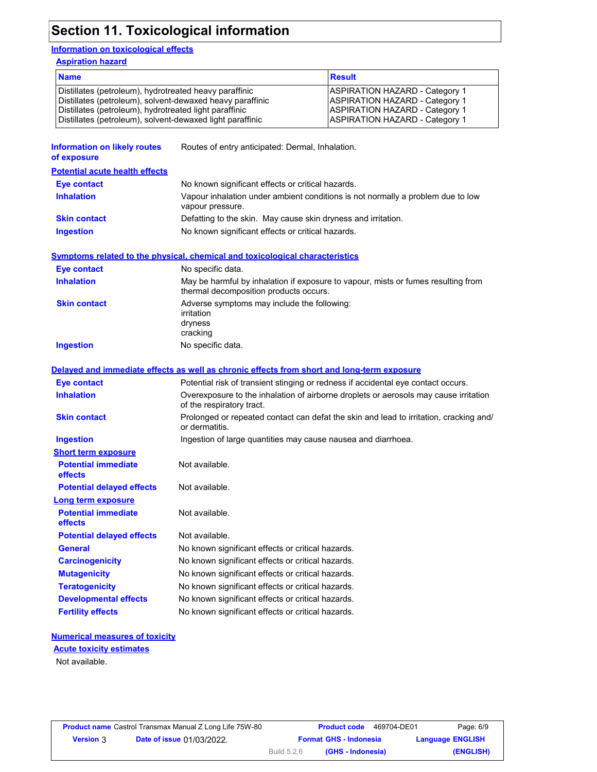# **Section 11. Toxicological information**

### **Information on toxicological effects**

**Aspiration hazard**

| <b>Name</b>                                               | <b>Result</b>                         |
|-----------------------------------------------------------|---------------------------------------|
| Distillates (petroleum), hydrotreated heavy paraffinic    | ASPIRATION HAZARD - Category 1        |
| Distillates (petroleum), solvent-dewaxed heavy paraffinic | <b>ASPIRATION HAZARD - Category 1</b> |
| Distillates (petroleum), hydrotreated light paraffinic    | <b>ASPIRATION HAZARD - Category 1</b> |
| Distillates (petroleum), solvent-dewaxed light paraffinic | <b>ASPIRATION HAZARD - Category 1</b> |

| <b>Information on likely routes</b><br>of exposure | Routes of entry anticipated: Dermal, Inhalation.                                                                            |
|----------------------------------------------------|-----------------------------------------------------------------------------------------------------------------------------|
| <b>Potential acute health effects</b>              |                                                                                                                             |
| Eye contact                                        | No known significant effects or critical hazards.                                                                           |
| <b>Inhalation</b>                                  | Vapour inhalation under ambient conditions is not normally a problem due to low<br>vapour pressure.                         |
| <b>Skin contact</b>                                | Defatting to the skin. May cause skin dryness and irritation.                                                               |
| <b>Ingestion</b>                                   | No known significant effects or critical hazards.                                                                           |
|                                                    | Symptoms related to the physical, chemical and toxicological characteristics                                                |
| <b>Eye contact</b>                                 | No specific data.                                                                                                           |
| <b>Inhalation</b>                                  | May be harmful by inhalation if exposure to vapour, mists or fumes resulting from<br>thermal decomposition products occurs. |
| <b>Skin contact</b>                                | Adverse symptoms may include the following:                                                                                 |
|                                                    | irritation                                                                                                                  |
|                                                    | dryness<br>cracking                                                                                                         |
| <b>Ingestion</b>                                   | No specific data.                                                                                                           |
|                                                    |                                                                                                                             |
|                                                    | Delayed and immediate effects as well as chronic effects from short and long-term exposure                                  |
| Eye contact                                        | Potential risk of transient stinging or redness if accidental eye contact occurs.                                           |
| <b>Inhalation</b>                                  | Overexposure to the inhalation of airborne droplets or aerosols may cause irritation<br>of the respiratory tract.           |
| <b>Skin contact</b>                                | Prolonged or repeated contact can defat the skin and lead to irritation, cracking and/<br>or dermatitis.                    |
| <b>Ingestion</b>                                   | Ingestion of large quantities may cause nausea and diarrhoea.                                                               |
| <b>Short term exposure</b>                         |                                                                                                                             |
| <b>Potential immediate</b><br>effects              | Not available.                                                                                                              |
| <b>Potential delayed effects</b>                   | Not available.                                                                                                              |
| <b>Long term exposure</b>                          |                                                                                                                             |
| <b>Potential immediate</b><br>effects              | Not available.                                                                                                              |
| <b>Potential delayed effects</b>                   | Not available.                                                                                                              |
| <b>General</b>                                     | No known significant effects or critical hazards.                                                                           |
| <b>Carcinogenicity</b>                             | No known significant effects or critical hazards.                                                                           |
| <b>Mutagenicity</b>                                | No known significant effects or critical hazards.                                                                           |
| <b>Teratogenicity</b>                              | No known significant effects or critical hazards.                                                                           |
| <b>Developmental effects</b>                       | No known significant effects or critical hazards.                                                                           |
| <b>Fertility effects</b>                           | No known significant effects or critical hazards.                                                                           |

### **Numerical measures of toxicity**

# **Acute toxicity estimates**

Not available.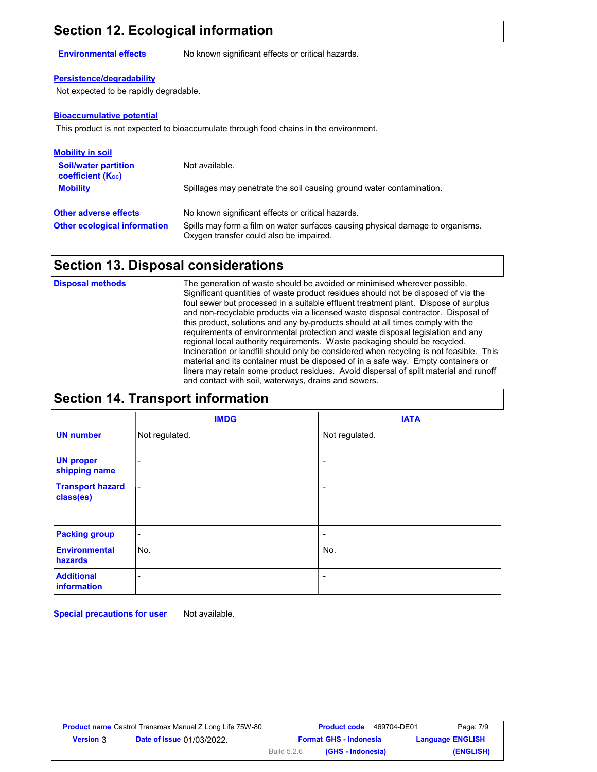# **Section 12. Ecological information**

**Environmental effects** No known significant effects or critical hazards.

### **Persistence/degradability**

Not expected to be rapidly degradable.

#### **Bioaccumulative potential**

This product is not expected to bioaccumulate through food chains in the environment.

| <b>Mobility in soil</b>                               |                                                                                                                           |
|-------------------------------------------------------|---------------------------------------------------------------------------------------------------------------------------|
| <b>Soil/water partition</b><br>coefficient $(K_{oc})$ | Not available.                                                                                                            |
| <b>Mobility</b>                                       | Spillages may penetrate the soil causing ground water contamination.                                                      |
| <b>Other adverse effects</b>                          | No known significant effects or critical hazards.                                                                         |
| <b>Other ecological information</b>                   | Spills may form a film on water surfaces causing physical damage to organisms.<br>Oxygen transfer could also be impaired. |

### **Section 13. Disposal considerations**

**Disposal methods** The generation of waste should be avoided or minimised wherever possible. Significant quantities of waste product residues should not be disposed of via the foul sewer but processed in a suitable effluent treatment plant. Dispose of surplus and non-recyclable products via a licensed waste disposal contractor. Disposal of this product, solutions and any by-products should at all times comply with the requirements of environmental protection and waste disposal legislation and any regional local authority requirements. Waste packaging should be recycled. Incineration or landfill should only be considered when recycling is not feasible. This material and its container must be disposed of in a safe way. Empty containers or liners may retain some product residues. Avoid dispersal of spilt material and runoff and contact with soil, waterways, drains and sewers.

### **Section 14. Transport information**

|                                      | <b>IMDG</b>              | <b>IATA</b>              |
|--------------------------------------|--------------------------|--------------------------|
| <b>UN number</b>                     | Not regulated.           | Not regulated.           |
| <b>UN proper</b><br>shipping name    | -                        |                          |
| <b>Transport hazard</b><br>class(es) | $\overline{\phantom{a}}$ |                          |
| <b>Packing group</b>                 | $\overline{\phantom{a}}$ | $\overline{\phantom{a}}$ |
| <b>Environmental</b><br>hazards      | No.                      | No.                      |
| <b>Additional</b><br>information     | ۰                        | $\overline{\phantom{0}}$ |

**Special precautions for user** Not available.

| <b>Product name</b> Castrol Transmax Manual Z Long Life 75W-80 |                                  |             | <b>Product code</b>           | 469704-DE01 | Page: 7/9               |
|----------------------------------------------------------------|----------------------------------|-------------|-------------------------------|-------------|-------------------------|
| <b>Version</b> 3                                               | <b>Date of issue 01/03/2022.</b> |             | <b>Format GHS - Indonesia</b> |             | <b>Language ENGLISH</b> |
|                                                                |                                  | Build 5.2.6 | (GHS - Indonesia)             |             | (ENGLISH)               |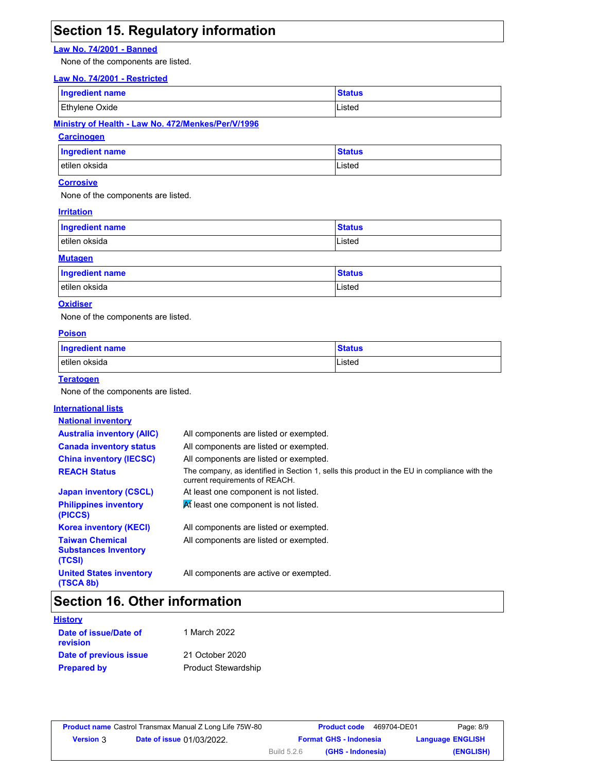# **Section 15. Regulatory information**

### **Law No. 74/2001 - Banned**

None of the components are listed.

#### **Law No. 74/2001 - Restricted**

| <b>Ingredient name</b> | <b>Status</b> |
|------------------------|---------------|
| Ethylene Oxide         | Listed        |

### **Ministry of Health - Law No. 472/Menkes/Per/V/1996**

### **Carcinogen**

| Ingredient name | <b>Status</b> |
|-----------------|---------------|
| etilen oksida   | Listed        |

### **Corrosive**

None of the components are listed.

#### **Irritation**

| <b>Ingredient name</b> | <b>Status</b> |
|------------------------|---------------|
| etilen oksida          | Listed        |
| <b>Mutagen</b>         |               |

| <b>Ingredient name</b> | <b>Status</b> |
|------------------------|---------------|
| etilen oksida          | Listed        |

### **Oxidiser**

None of the components are listed.

#### **Poison**

| <b>Ingredient name</b> | <b>Status</b> |
|------------------------|---------------|
| etilen oksida          | Listed        |

#### **Teratogen**

None of the components are listed.

#### **International lists National inventory Australia inventory (AIIC)** All components are listed or exempted. **Canada inventory status** All components are listed or exempted. **China inventory (IECSC)** All components are listed or exempted. **Japan inventory (CSCL)** At least one component is not listed. **Korea inventory (KECI)** All components are listed or exempted. **Philippines inventory (PICCS)** At least one component is not listed. **United States inventory (TSCA 8b)** All components are active or exempted. **Taiwan Chemical Substances Inventory (TCSI)** All components are listed or exempted. **REACH Status** The company, as identified in Section 1, sells this product in the EU in compliance with the current requirements of REACH.

### **Section 16. Other information**

| History                                  |                            |
|------------------------------------------|----------------------------|
| Date of issue/Date of<br><b>revision</b> | 1 March 2022               |
| Date of previous issue                   | 21 October 2020            |
| <b>Prepared by</b>                       | <b>Product Stewardship</b> |

| <b>Product name</b> Castrol Transmax Manual Z Long Life 75W-80 |                                  |             | <b>Product code</b>           | 469704-DE01 | Page: 8/9               |
|----------------------------------------------------------------|----------------------------------|-------------|-------------------------------|-------------|-------------------------|
| <b>Version</b> 3                                               | <b>Date of issue 01/03/2022.</b> |             | <b>Format GHS - Indonesia</b> |             | <b>Language ENGLISH</b> |
|                                                                |                                  | Build 5.2.6 | (GHS - Indonesia)             |             | (ENGLISH)               |